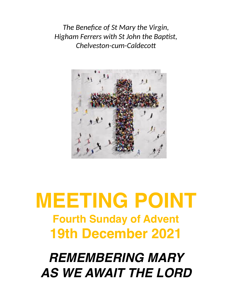*The Benefice of St Mary the Virgin, Higham Ferrers with St John the Baptist, Chelveston-cum-Caldecott*



# **MEETING POINT Fourth Sunday of Advent 19th December 2021**

# *REMEMBERING MARY AS WE AWAIT THE LORD*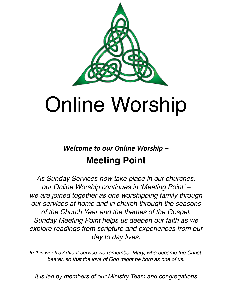

# Online Worship

# *Welcome to our Online Worship –*  **Meeting Point**

*As Sunday Services now take place in our churches, our Online Worship continues in 'Meeting Point' – we are joined together as one worshipping family through our services at home and in church through the seasons of the Church Year and the themes of the Gospel. Sunday Meeting Point helps us deepen our faith as we explore readings from scripture and experiences from our day to day lives.*

*In this week's Advent service we remember Mary, who became the Christbearer, so that the love of God might be born as one of us.*

*It is led by members of our Ministry Team and congregations*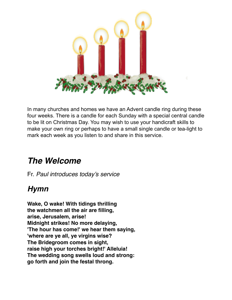

In many churches and homes we have an Advent candle ring during these four weeks. There is a candle for each Sunday with a special central candle to be lit on Christmas Day. You may wish to use your handicraft skills to make your own ring or perhaps to have a small single candle or tea-light to mark each week as you listen to and share in this service.

# *The Welcome*

Fr. *Paul introduces today's service*

# *Hymn*

**Wake, O wake! With tidings thrilling the watchmen all the air are filling, arise, Jerusalem, arise! Midnight strikes! No more delaying, 'The hour has come!' we hear them saying, 'where are ye all, ye virgins wise? The Bridegroom comes in sight, raise high your torches bright!' Alleluia! The wedding song swells loud and strong: go forth and join the festal throng.**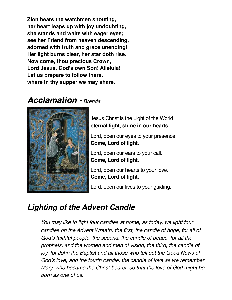**Zion hears the watchmen shouting, her heart leaps up with joy undoubting, she stands and waits with eager eyes; see her Friend from heaven descending, adorned with truth and grace unending! Her light burns clear, her star doth rise. Now come, thou precious Crown, Lord Jesus, God's own Son! Alleluia! Let us prepare to follow there, where in thy supper we may share.**

# *Acclamation - Brenda*



Jesus Christ is the Light of the World: **eternal light, shine in our hearts.**

Lord, open our eyes to your presence. **Come, Lord of light.**

Lord, open our ears to your call. **Come, Lord of light.**

Lord, open our hearts to your love. **Come, Lord of light.**

Lord, open our lives to your guiding.

# *Lighting of the Advent Candle*

*You may like to light four candles at home, as today, we light four candles on the Advent Wreath, the first, the candle of hope, for all of God's faithful people, the second, the candle of peace, for all the prophets, and the women and men of vision, the third, the candle of joy, for John the Baptist and all those who tell out the Good News of God's love, and the fourth candle, the candle of love as we remember Mary, who became the Christ-bearer, so that the love of God might be born as one of us.*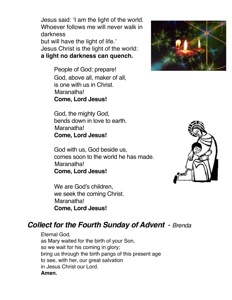Jesus said: 'I am the light of the world. Whoever follows me will never walk in darkness

but will have the light of life.' Jesus Christ is the light of the world: **a light no darkness can quench.**

> People of God: prepare! God, above all, maker of all, is one with us in Christ. Maranatha! **Come, Lord Jesus!**

> God, the mighty God, bends down in love to earth. Maranatha! **Come, Lord Jesus!**

God with us, God beside us, comes soon to the world he has made. Maranatha! **Come, Lord Jesus!**

We are God's children, we seek the coming Christ. Maranatha! **Come, Lord Jesus!**

# *Collect for the Fourth Sunday of Advent* - *Brenda*

Eternal God, as Mary waited for the birth of your Son, so we wait for his coming in glory; bring us through the birth pangs of this present age to see, with her, our great salvation in Jesus Christ our Lord. **Amen.**

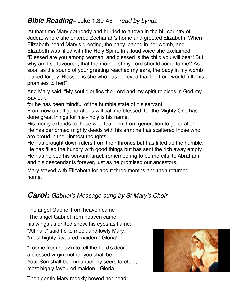# *Bible Reading*– Luke 1:39-45 – *read by Lynda*

At that time Mary got ready and hurried to a town in the hill country of Judea, where she entered Zechariah's home and greeted Elizabeth. When Elizabeth heard Mary's greeting, the baby leaped in her womb, and Elizabeth was filled with the Holy Spirit. In a loud voice she exclaimed: "Blessed are you among women, and blessed is the child you will bear! But why am I so favoured, that the mother of my Lord should come to me? As soon as the sound of your greeting reached my ears, the baby in my womb leaped for joy. Blessed is she who has believed that the Lord would fulfil his promises to her!"

And Mary said: "My soul glorifies the Lord and my spirit rejoices in God my Saviour,

for he has been mindful of the humble state of his servant.

From now on all generations will call me blessed, for the Mighty One has done great things for me - holy is his name.

His mercy extends to those who fear him, from generation to generation. He has performed mighty deeds with his arm; he has scattered those who are proud in their inmost thoughts.

He has brought down rulers from their thrones but has lifted up the humble. He has filled the hungry with good things but has sent the rich away empty. He has helped his servant Israel, remembering to be merciful to Abraham and his descendants forever, just as he promised our ancestors."

Mary stayed with Elizabeth for about three months and then returned home.

# *Carol: Gabriel's Message sung by St Mary's Choir*

The angel Gabriel from heaven came The angel Gabriel from heaven came, his wings as drifted snow, his eyes as flame; "All hail," said he to meek and lowly Mary, "most highly favoured maiden." Gloria!

"I come from heav'n to tell the Lord's decree: a blessed virgin mother you shall be. Your Son shall be Immanuel, by seers foretold, most highly favoured maiden." Gloria!

Then gentle Mary meekly bowed her head;

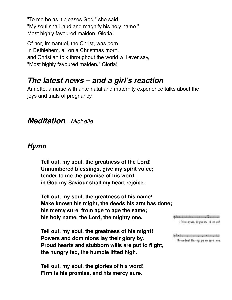"To me be as it pleases God," she said. "My soul shall laud and magnify his holy name." Most highly favoured maiden, Gloria!

Of her, Immanuel, the Christ, was born In Bethlehem, all on a Christmas morn, and Christian folk throughout the world will ever say, "Most highly favoured maiden." Gloria!

# *The latest news – and a girl's reaction*

Annette, a nurse with ante-natal and maternity experience talks about the joys and trials of pregnancy

## *Meditation – Michelle*

## *Hymn*

**Tell out, my soul, the greatness of the Lord! Unnumbered blessings, give my spirit voice; tender to me the promise of his word; in God my Saviour shall my heart rejoice.**

**Tell out, my soul, the greatness of his name! Make known his might, the deeds his arm has done; his mercy sure, from age to age the same; his holy name, the Lord, the mighty one.**

**Tell out, my soul, the greatness of his might! Powers and dominions lay their glory by. Proud hearts and stubborn wills are put to flight, the hungry fed, the humble lifted high.**

**Tell out, my soul, the glories of his word! Firm is his promise, and his mercy sure.**

610 2 2 3 7 3 3 7 7 3 7 1 3 1. Fel va, ny sual, the great-ress of the lan2.

string process to claude Un-sem-bired bles: - ngs give my spir-it voice;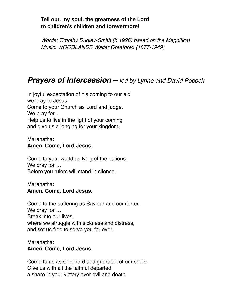#### **Tell out, my soul, the greatness of the Lord to children's children and forevermore!**

*Words: Timothy Dudley-Smith (b.1926) based on the Magnificat Music: WOODLANDS Walter Greatorex (1877-1949)*

# *Prayers of Intercession – led by Lynne and David Pocock*

In joyful expectation of his coming to our aid we pray to Jesus. Come to your Church as Lord and judge. We pray for … Help us to live in the light of your coming

and give us a longing for your kingdom.

#### Maranatha: **Amen. Come, Lord Jesus.**

Come to your world as King of the nations. We pray for … Before you rulers will stand in silence.

#### Maranatha: **Amen. Come, Lord Jesus.**

Come to the suffering as Saviour and comforter. We pray for … Break into our lives, where we struggle with sickness and distress, and set us free to serve you for ever.

#### Maranatha: **Amen. Come, Lord Jesus.**

Come to us as shepherd and guardian of our souls. Give us with all the faithful departed a share in your victory over evil and death.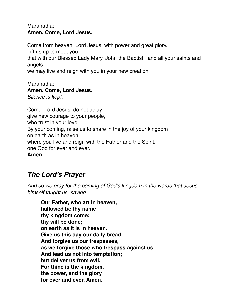#### Maranatha: **Amen. Come, Lord Jesus.**

Come from heaven, Lord Jesus, with power and great glory.

Lift us up to meet you,

that with our Blessed Lady Mary, John the Baptist and all your saints and angels

we may live and reign with you in your new creation.

Maranatha<sup>:</sup> **Amen. Come, Lord Jesus.** *Silence is kept.*

Come, Lord Jesus, do not delay; give new courage to your people, who trust in your love. By your coming, raise us to share in the joy of your kingdom on earth as in heaven, where you live and reign with the Father and the Spirit, one God for ever and ever. **Amen.**

# *The Lord's Prayer*

*And so we pray for the coming of God's kingdom in the words that Jesus himself taught us, saying:*

**Our Father, who art in heaven, hallowed be thy name; thy kingdom come; thy will be done; on earth as it is in heaven. Give us this day our daily bread. And forgive us our trespasses, as we forgive those who trespass against us. And lead us not into temptation; but deliver us from evil. For thine is the kingdom, the power, and the glory for ever and ever. Amen.**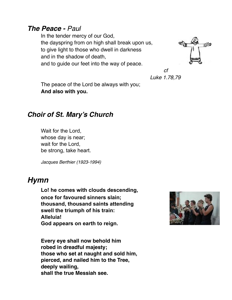#### *The Peace - Paul*

In the tender mercy of our God, the dayspring from on high shall break upon us, to give light to those who dwell in darkness and in the shadow of death, and to guide our feet into the way of peace.



*cf Luke 1.78,79*

The peace of the Lord be always with you; **And also with you.**

### *Choir of St. Mary's Church*

Wait for the Lord, whose day is near; wait for the Lord, be strong, take heart.

*Jacques Berthier (1923-1994)*

#### *Hymn*

**Lo! he comes with clouds descending, once for favoured sinners slain; thousand, thousand saints attending swell the triumph of his train: Alleluia! God appears on earth to reign.**

**Every eye shall now behold him robed in dreadful majesty; those who set at naught and sold him, pierced, and nailed him to the Tree, deeply wailing, shall the true Messiah see.**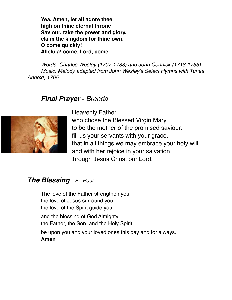**Yea, Amen, let all adore thee, high on thine eternal throne; Saviour, take the power and glory, claim the kingdom for thine own. O come quickly! Alleluia! come, Lord, come.**

*Words: Charles Wesley (1707-1788) and John Cennick (1718-1755) Music: Melody adapted from John Wesley's Select Hymns with Tunes Annext, 1765*

#### *Final Prayer - Brenda*



Heavenly Father, who chose the Blessed Virgin Mary to be the mother of the promised saviour: fill us your servants with your grace, that in all things we may embrace your holy will and with her rejoice in your salvation; through Jesus Christ our Lord.

#### *The Blessing - Fr. Paul*

The love of the Father strengthen you, the love of Jesus surround you, the love of the Spirit guide you,

and the blessing of God Almighty, the Father, the Son, and the Holy Spirit,

be upon you and your loved ones this day and for always.

**Amen**